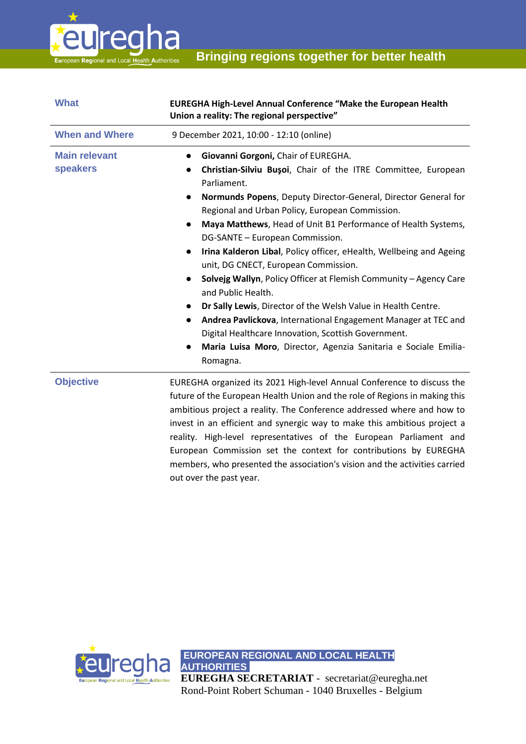

| <b>What</b>                             | <b>EUREGHA High-Level Annual Conference "Make the European Health</b><br>Union a reality: The regional perspective"                                                                                                                                                                                                                                                                                                                                                                                                                                                                                                                                                                                                                                                                                                                                                                                                                                  |
|-----------------------------------------|------------------------------------------------------------------------------------------------------------------------------------------------------------------------------------------------------------------------------------------------------------------------------------------------------------------------------------------------------------------------------------------------------------------------------------------------------------------------------------------------------------------------------------------------------------------------------------------------------------------------------------------------------------------------------------------------------------------------------------------------------------------------------------------------------------------------------------------------------------------------------------------------------------------------------------------------------|
| <b>When and Where</b>                   | 9 December 2021, 10:00 - 12:10 (online)                                                                                                                                                                                                                                                                                                                                                                                                                                                                                                                                                                                                                                                                                                                                                                                                                                                                                                              |
| <b>Main relevant</b><br><b>speakers</b> | Giovanni Gorgoni, Chair of EUREGHA.<br>$\bullet$<br>Christian-Silviu Bușoi, Chair of the ITRE Committee, European<br>$\bullet$<br>Parliament.<br>Normunds Popens, Deputy Director-General, Director General for<br>$\bullet$<br>Regional and Urban Policy, European Commission.<br>Maya Matthews, Head of Unit B1 Performance of Health Systems,<br>$\bullet$<br>DG-SANTE - European Commission.<br>Irina Kalderon Libal, Policy officer, eHealth, Wellbeing and Ageing<br>$\bullet$<br>unit, DG CNECT, European Commission.<br>Solvejg Wallyn, Policy Officer at Flemish Community - Agency Care<br>$\bullet$<br>and Public Health.<br>Dr Sally Lewis, Director of the Welsh Value in Health Centre.<br>$\bullet$<br>Andrea Pavlickova, International Engagement Manager at TEC and<br>$\bullet$<br>Digital Healthcare Innovation, Scottish Government.<br>Maria Luisa Moro, Director, Agenzia Sanitaria e Sociale Emilia-<br>$\bullet$<br>Romagna. |
| <b>Objective</b>                        | EUREGHA organized its 2021 High-level Annual Conference to discuss the<br>future of the European Health Union and the role of Regions in making this<br>ambitious project a reality. The Conference addressed where and how to<br>invest in an efficient and synergic way to make this ambitious project a<br>reality. High-level representatives of the European Parliament and<br>European Commission set the context for contributions by EUREGHA                                                                                                                                                                                                                                                                                                                                                                                                                                                                                                 |

out over the past year.

eu<mark>regha</mark>

**AUTHORITIES. EUREGHA SECRETARIAT** - secretariat@euregha.net Rond-Point Robert Schuman - 1040 Bruxelles - Belgium

members, who presented the association's vision and the activities carried

**EUROPEAN REGIONAL AND LOCAL HEALTH**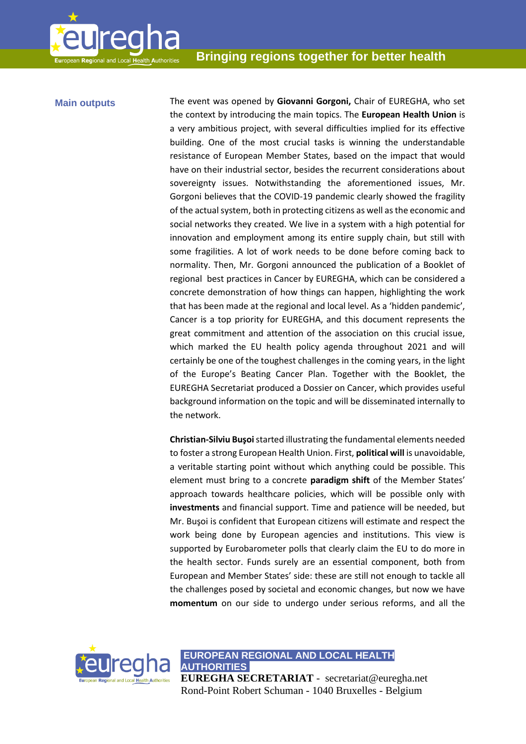

**Main outputs** The event was opened by **Giovanni Gorgoni,** Chair of EUREGHA, who set the context by introducing the main topics. The **European Health Union** is a very ambitious project, with several difficulties implied for its effective building. One of the most crucial tasks is winning the understandable resistance of European Member States, based on the impact that would have on their industrial sector, besides the recurrent considerations about sovereignty issues. Notwithstanding the aforementioned issues, Mr. Gorgoni believes that the COVID-19 pandemic clearly showed the fragility of the actual system, both in protecting citizens as well as the economic and social networks they created. We live in a system with a high potential for innovation and employment among its entire supply chain, but still with some fragilities. A lot of work needs to be done before coming back to normality. Then, Mr. Gorgoni announced the publication of a Booklet of regional best practices in Cancer by EUREGHA, which can be considered a concrete demonstration of how things can happen, highlighting the work that has been made at the regional and local level. As a 'hidden pandemic', Cancer is a top priority for EUREGHA, and this document represents the great commitment and attention of the association on this crucial issue, which marked the EU health policy agenda throughout 2021 and will certainly be one of the toughest challenges in the coming years, in the light of the Europe's Beating Cancer Plan. Together with the Booklet, the EUREGHA Secretariat produced a Dossier on Cancer, which provides useful background information on the topic and will be disseminated internally to the network.

> **Christian-Silviu Buşoi**started illustrating the fundamental elements needed to foster a strong European Health Union. First, **political will** is unavoidable, a veritable starting point without which anything could be possible. This element must bring to a concrete **paradigm shift** of the Member States' approach towards healthcare policies, which will be possible only with **investments** and financial support. Time and patience will be needed, but Mr. Buşoi is confident that European citizens will estimate and respect the work being done by European agencies and institutions. This view is supported by Eurobarometer polls that clearly claim the EU to do more in the health sector. Funds surely are an essential component, both from European and Member States' side: these are still not enough to tackle all the challenges posed by societal and economic changes, but now we have **momentum** on our side to undergo under serious reforms, and all the

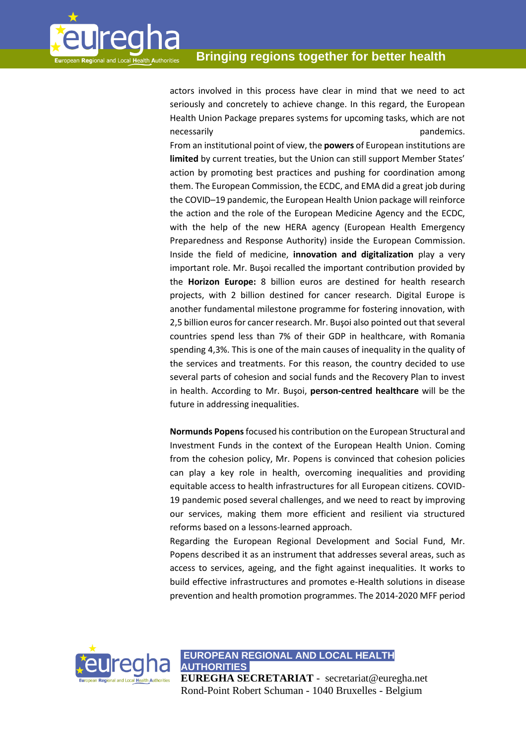

actors involved in this process have clear in mind that we need to act seriously and concretely to achieve change. In this regard, the European Health Union Package prepares systems for upcoming tasks, which are not necessarily **pandemics**.

From an institutional point of view, the **powers** of European institutions are **limited** by current treaties, but the Union can still support Member States' action by promoting best practices and pushing for coordination among them. The European Commission, the ECDC, and EMA did a great job during the COVID–19 pandemic, the European Health Union package will reinforce the action and the role of the European Medicine Agency and the ECDC, with the help of the new HERA agency (European Health Emergency Preparedness and Response Authority) inside the European Commission. Inside the field of medicine, **innovation and digitalization** play a very important role. Mr. Buşoi recalled the important contribution provided by the **Horizon Europe:** 8 billion euros are destined for health research projects, with 2 billion destined for cancer research. Digital Europe is another fundamental milestone programme for fostering innovation, with 2,5 billion euros for cancer research. Mr. Buşoi also pointed out that several countries spend less than 7% of their GDP in healthcare, with Romania spending 4,3%. This is one of the main causes of inequality in the quality of the services and treatments. For this reason, the country decided to use several parts of cohesion and social funds and the Recovery Plan to invest in health. According to Mr. Buşoi, **person-centred healthcare** will be the future in addressing inequalities.

**Normunds Popens**focused his contribution on the European Structural and Investment Funds in the context of the European Health Union. Coming from the cohesion policy, Mr. Popens is convinced that cohesion policies can play a key role in health, overcoming inequalities and providing equitable access to health infrastructures for all European citizens. COVID-19 pandemic posed several challenges, and we need to react by improving our services, making them more efficient and resilient via structured reforms based on a lessons-learned approach.

Regarding the European Regional Development and Social Fund, Mr. Popens described it as an instrument that addresses several areas, such as access to services, ageing, and the fight against inequalities. It works to build effective infrastructures and promotes e-Health solutions in disease prevention and health promotion programmes. The 2014-2020 MFF period



**EUROPEAN REGIONAL AND LOCAL HEALTH AUTHORITIES.** 

**EUREGHA SECRETARIAT** - secretariat@euregha.net Rond-Point Robert Schuman - 1040 Bruxelles - Belgium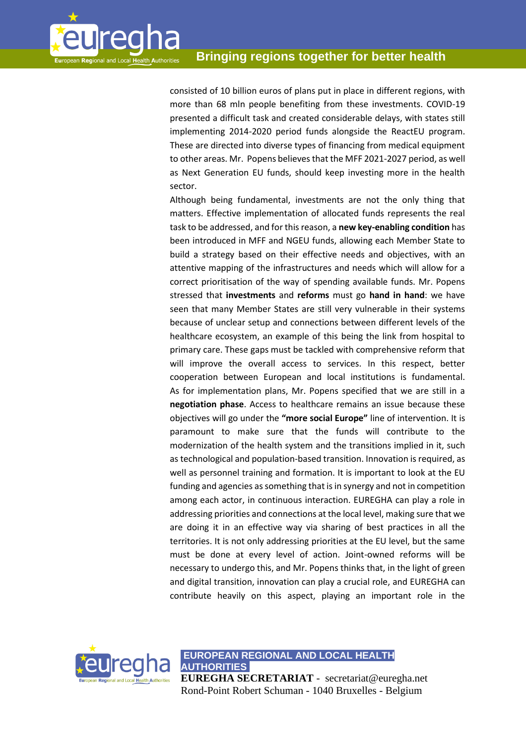

consisted of 10 billion euros of plans put in place in different regions, with more than 68 mln people benefiting from these investments. COVID-19 presented a difficult task and created considerable delays, with states still implementing 2014-2020 period funds alongside the ReactEU program. These are directed into diverse types of financing from medical equipment to other areas. Mr. Popens believes that the MFF 2021-2027 period, as well as Next Generation EU funds, should keep investing more in the health sector.

Although being fundamental, investments are not the only thing that matters. Effective implementation of allocated funds represents the real task to be addressed, and for this reason, a **new key-enabling condition** has been introduced in MFF and NGEU funds, allowing each Member State to build a strategy based on their effective needs and objectives, with an attentive mapping of the infrastructures and needs which will allow for a correct prioritisation of the way of spending available funds. Mr. Popens stressed that **investments** and **reforms** must go **hand in hand**: we have seen that many Member States are still very vulnerable in their systems because of unclear setup and connections between different levels of the healthcare ecosystem, an example of this being the link from hospital to primary care. These gaps must be tackled with comprehensive reform that will improve the overall access to services. In this respect, better cooperation between European and local institutions is fundamental. As for implementation plans, Mr. Popens specified that we are still in a **negotiation phase**. Access to healthcare remains an issue because these objectives will go under the **"more social Europe"** line of intervention. It is paramount to make sure that the funds will contribute to the modernization of the health system and the transitions implied in it, such as technological and population-based transition. Innovation is required, as well as personnel training and formation. It is important to look at the EU funding and agencies as something that is in synergy and not in competition among each actor, in continuous interaction. EUREGHA can play a role in addressing priorities and connections at the local level, making sure that we are doing it in an effective way via sharing of best practices in all the territories. It is not only addressing priorities at the EU level, but the same must be done at every level of action. Joint-owned reforms will be necessary to undergo this, and Mr. Popens thinks that, in the light of green and digital transition, innovation can play a crucial role, and EUREGHA can contribute heavily on this aspect, playing an important role in the

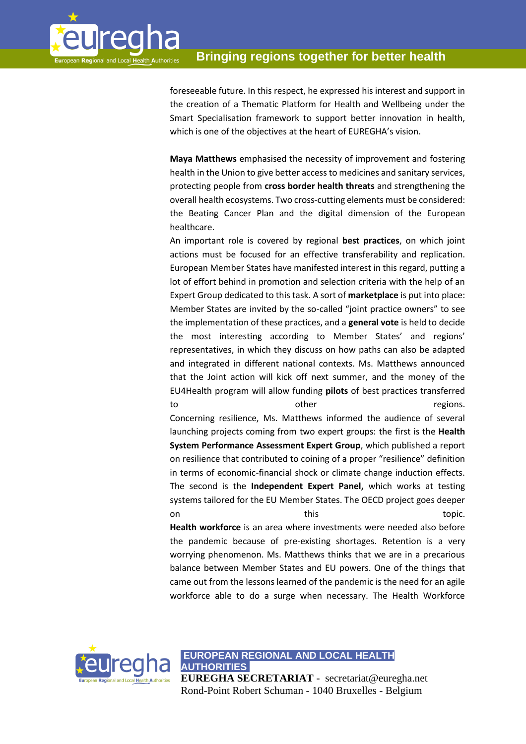

foreseeable future. In this respect, he expressed his interest and support in the creation of a Thematic Platform for Health and Wellbeing under the Smart Specialisation framework to support better innovation in health, which is one of the objectives at the heart of EUREGHA's vision.

**Maya Matthews** emphasised the necessity of improvement and fostering health in the Union to give better access to medicines and sanitary services, protecting people from **cross border health threats** and strengthening the overall health ecosystems. Two cross-cutting elements must be considered: the Beating Cancer Plan and the digital dimension of the European healthcare.

An important role is covered by regional **best practices**, on which joint actions must be focused for an effective transferability and replication. European Member States have manifested interest in this regard, putting a lot of effort behind in promotion and selection criteria with the help of an Expert Group dedicated to this task. A sort of **marketplace** is put into place: Member States are invited by the so-called "joint practice owners" to see the implementation of these practices, and a **general vote** is held to decide the most interesting according to Member States' and regions' representatives, in which they discuss on how paths can also be adapted and integrated in different national contexts. Ms. Matthews announced that the Joint action will kick off next summer, and the money of the EU4Health program will allow funding **pilots** of best practices transferred to the contract of the contract of the contract of the contract of the contract of the contract of the contract of the contract of the contract of the contract of the contract of the contract of the contract of the contrac Concerning resilience, Ms. Matthews informed the audience of several launching projects coming from two expert groups: the first is the **Health System Performance Assessment Expert Group**, which published a report on resilience that contributed to coining of a proper "resilience" definition in terms of economic-financial shock or climate change induction effects. The second is the **Independent Expert Panel,** which works at testing systems tailored for the EU Member States. The OECD project goes deeper on this topic. **Health workforce** is an area where investments were needed also before the pandemic because of pre-existing shortages. Retention is a very worrying phenomenon. Ms. Matthews thinks that we are in a precarious balance between Member States and EU powers. One of the things that came out from the lessons learned of the pandemic is the need for an agile workforce able to do a surge when necessary. The Health Workforce



**EUROPEAN REGIONAL AND LOCAL HEALTH AUTHORITIES.** 

**EUREGHA SECRETARIAT** - secretariat@euregha.net Rond-Point Robert Schuman - 1040 Bruxelles - Belgium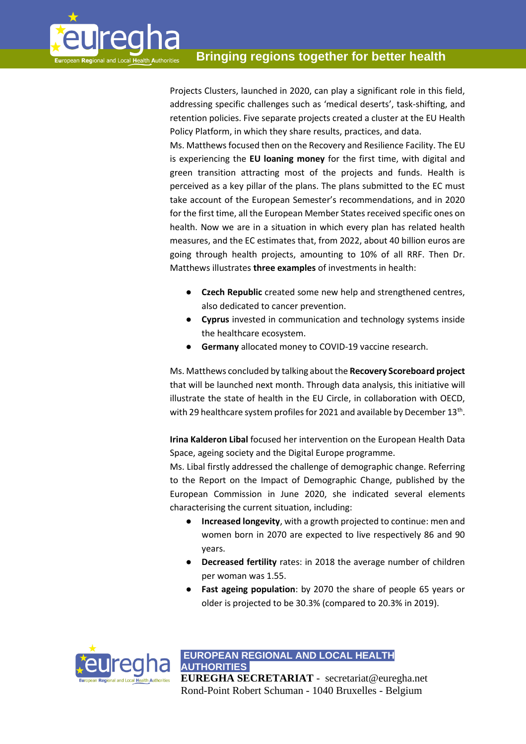

Projects Clusters, launched in 2020, can play a significant role in this field, addressing specific challenges such as 'medical deserts', task-shifting, and retention policies. Five separate projects created a cluster at the EU Health Policy Platform, in which they share results, practices, and data.

Ms. Matthews focused then on the Recovery and Resilience Facility. The EU is experiencing the **EU loaning money** for the first time, with digital and green transition attracting most of the projects and funds. Health is perceived as a key pillar of the plans. The plans submitted to the EC must take account of the European Semester's recommendations, and in 2020 for the first time, all the European Member States received specific ones on health. Now we are in a situation in which every plan has related health measures, and the EC estimates that, from 2022, about 40 billion euros are going through health projects, amounting to 10% of all RRF. Then Dr. Matthews illustrates **three examples** of investments in health:

- **Czech Republic** created some new help and strengthened centres, also dedicated to cancer prevention.
- **Cyprus** invested in communication and technology systems inside the healthcare ecosystem.
- **Germany** allocated money to COVID-19 vaccine research.

Ms. Matthews concluded by talking about the **Recovery Scoreboard project**  that will be launched next month. Through data analysis, this initiative will illustrate the state of health in the EU Circle, in collaboration with OECD, with 29 healthcare system profiles for 2021 and available by December  $13^{\text{th}}.$ 

**Irina Kalderon Libal** focused her intervention on the European Health Data Space, ageing society and the Digital Europe programme.

Ms. Libal firstly addressed the challenge of demographic change. Referring to the Report on the Impact of Demographic Change, published by the European Commission in June 2020, she indicated several elements characterising the current situation, including:

- **Increased longevity**, with a growth projected to continue: men and women born in 2070 are expected to live respectively 86 and 90 years.
- **Decreased fertility** rates: in 2018 the average number of children per woman was 1.55.
- **Fast ageing population**: by 2070 the share of people 65 years or older is projected to be 30.3% (compared to 20.3% in 2019).

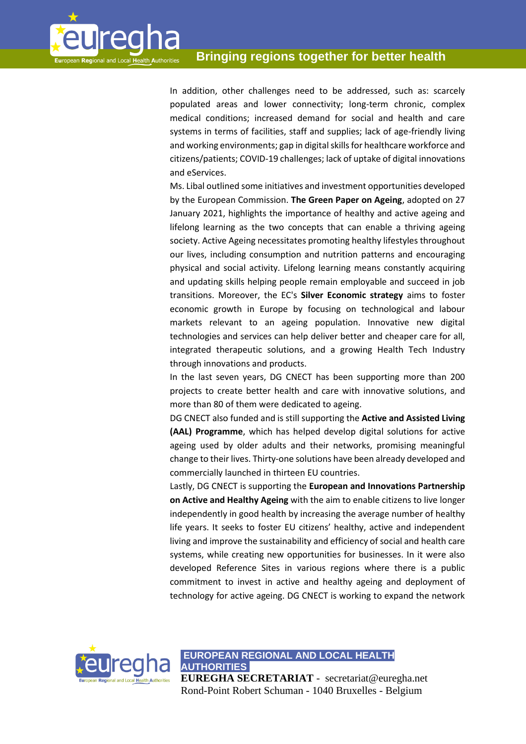

In addition, other challenges need to be addressed, such as: scarcely populated areas and lower connectivity; long-term chronic, complex medical conditions; increased demand for social and health and care systems in terms of facilities, staff and supplies; lack of age-friendly living and working environments; gap in digital skills for healthcare workforce and citizens/patients; COVID-19 challenges; lack of uptake of digital innovations and eServices.

Ms. Libal outlined some initiatives and investment opportunities developed by the European Commission. **The Green Paper on Ageing**, adopted on 27 January 2021, highlights the importance of healthy and active ageing and lifelong learning as the two concepts that can enable a thriving ageing society. Active Ageing necessitates promoting healthy lifestyles throughout our lives, including consumption and nutrition patterns and encouraging physical and social activity. Lifelong learning means constantly acquiring and updating skills helping people remain employable and succeed in job transitions. Moreover, the EC's **Silver Economic strategy** aims to foster economic growth in Europe by focusing on technological and labour markets relevant to an ageing population. Innovative new digital technologies and services can help deliver better and cheaper care for all, integrated therapeutic solutions, and a growing Health Tech Industry through innovations and products.

In the last seven years, DG CNECT has been supporting more than 200 projects to create better health and care with innovative solutions, and more than 80 of them were dedicated to ageing.

DG CNECT also funded and is still supporting the **Active and Assisted Living (AAL) Programme**, which has helped develop digital solutions for active ageing used by older adults and their networks, promising meaningful change to their lives. Thirty-one solutions have been already developed and commercially launched in thirteen EU countries.

Lastly, DG CNECT is supporting the **European and Innovations Partnership on Active and Healthy Ageing** with the aim to enable citizens to live longer independently in good health by increasing the average number of healthy life years. It seeks to foster EU citizens' healthy, active and independent living and improve the sustainability and efficiency of social and health care systems, while creating new opportunities for businesses. In it were also developed Reference Sites in various regions where there is a public commitment to invest in active and healthy ageing and deployment of technology for active ageing. DG CNECT is working to expand the network



**EUROPEAN REGIONAL AND LOCAL HEALTH AUTHORITIES.** 

**EUREGHA SECRETARIAT** - secretariat@euregha.net Rond-Point Robert Schuman - 1040 Bruxelles - Belgium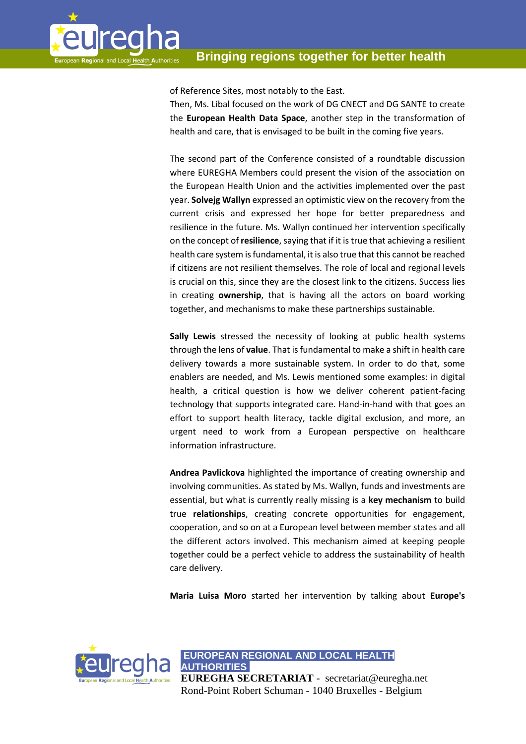

of Reference Sites, most notably to the East.

Then, Ms. Libal focused on the work of DG CNECT and DG SANTE to create the **European Health Data Space**, another step in the transformation of health and care, that is envisaged to be built in the coming five years.

The second part of the Conference consisted of a roundtable discussion where EUREGHA Members could present the vision of the association on the European Health Union and the activities implemented over the past year. **Solvejg Wallyn** expressed an optimistic view on the recovery from the current crisis and expressed her hope for better preparedness and resilience in the future. Ms. Wallyn continued her intervention specifically on the concept of **resilience**, saying that if it is true that achieving a resilient health care system is fundamental, it is also true that this cannot be reached if citizens are not resilient themselves. The role of local and regional levels is crucial on this, since they are the closest link to the citizens. Success lies in creating **ownership**, that is having all the actors on board working together, and mechanisms to make these partnerships sustainable.

**Sally Lewis** stressed the necessity of looking at public health systems through the lens of **value**. That is fundamental to make a shift in health care delivery towards a more sustainable system. In order to do that, some enablers are needed, and Ms. Lewis mentioned some examples: in digital health, a critical question is how we deliver coherent patient-facing technology that supports integrated care. Hand-in-hand with that goes an effort to support health literacy, tackle digital exclusion, and more, an urgent need to work from a European perspective on healthcare information infrastructure.

**Andrea Pavlickova** highlighted the importance of creating ownership and involving communities. As stated by Ms. Wallyn, funds and investments are essential, but what is currently really missing is a **key mechanism** to build true **relationships**, creating concrete opportunities for engagement, cooperation, and so on at a European level between member states and all the different actors involved. This mechanism aimed at keeping people together could be a perfect vehicle to address the sustainability of health care delivery.

**Maria Luisa Moro** started her intervention by talking about **Europe's**